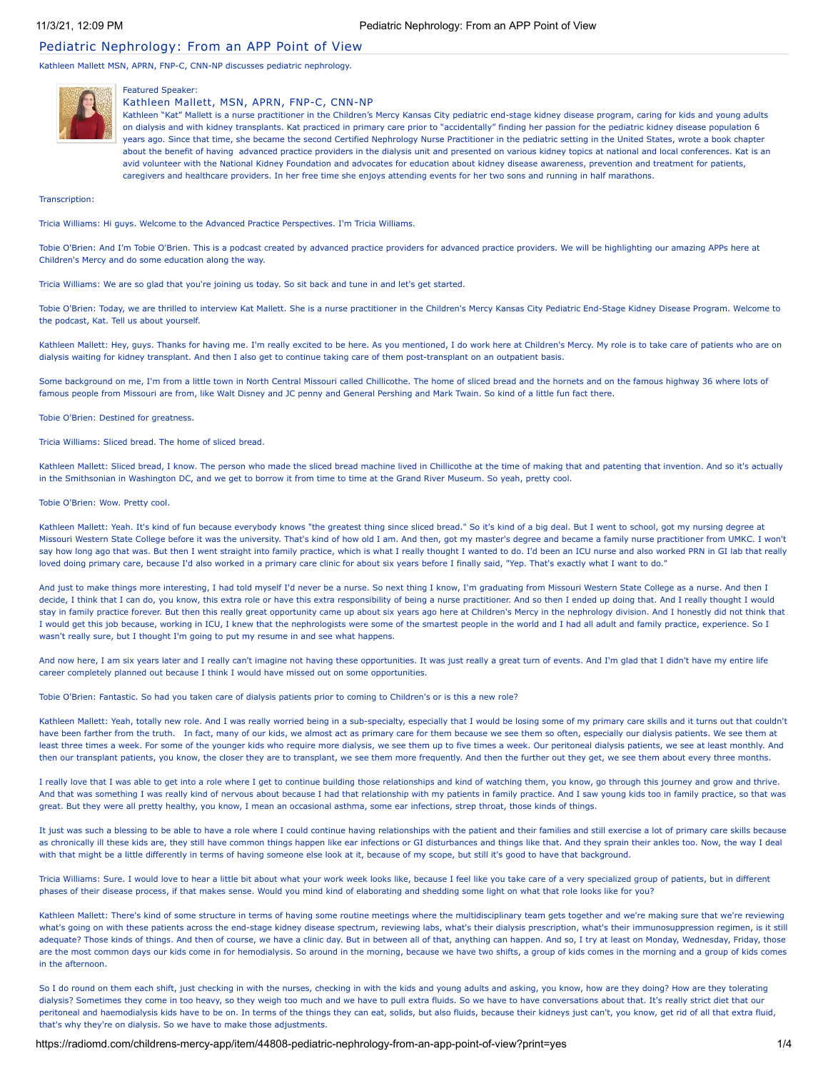# Pediatric Nephrology: From an APP Point of View

Kathleen Mallett MSN, APRN, FNP-C, CNN-NP discusses pediatric nephrology.



# Featured Speaker:

### Kathleen Mallett, MSN, APRN, FNP-C, CNN-NP

Kathleen "Kat" Mallett is a nurse practitioner in the Children's Mercy Kansas City pediatric end-stage kidney disease program, caring for kids and young adults on dialysis and with kidney transplants. Kat practiced in primary care prior to "accidentally" finding her passion for the pediatric kidney disease population 6 years ago. Since that time, she became the second Certified Nephrology Nurse Practitioner in the pediatric setting in the United States, wrote a book chapter about the benefit of having advanced practice providers in the dialysis unit and presented on various kidney topics at national and local conferences. Kat is an avid volunteer with the National Kidney Foundation and advocates for education about kidney disease awareness, prevention and treatment for patients, caregivers and healthcare providers. In her free time she enjoys attending events for her two sons and running in half marathons.

Transcription:

Tricia Williams: Hi guys. Welcome to the Advanced Practice Perspectives. I'm Tricia Williams.

Tobie O'Brien: And I'm Tobie O'Brien. This is a podcast created by advanced practice providers for advanced practice providers. We will be highlighting our amazing APPs here at Children's Mercy and do some education along the way.

Tricia Williams: We are so glad that you're joining us today. So sit back and tune in and let's get started.

Tobie O'Brien: Today, we are thrilled to interview Kat Mallett. She is a nurse practitioner in the Children's Mercy Kansas City Pediatric End-Stage Kidney Disease Program. Welcome to the podcast, Kat. Tell us about yourself.

Kathleen Mallett: Hey, guys. Thanks for having me. I'm really excited to be here. As you mentioned, I do work here at Children's Mercy. My role is to take care of patients who are on dialysis waiting for kidney transplant. And then I also get to continue taking care of them post-transplant on an outpatient basis.

Some background on me, I'm from a little town in North Central Missouri called Chillicothe. The home of sliced bread and the hornets and on the famous highway 36 where lots of famous people from Missouri are from, like Walt Disney and JC penny and General Pershing and Mark Twain. So kind of a little fun fact there.

Tobie O'Brien: Destined for greatness.

Tricia Williams: Sliced bread. The home of sliced bread.

Kathleen Mallett: Sliced bread, I know. The person who made the sliced bread machine lived in Chillicothe at the time of making that and patenting that invention. And so it's actually in the Smithsonian in Washington DC, and we get to borrow it from time to time at the Grand River Museum. So yeah, pretty cool.

### Tobie O'Brien: Wow. Pretty cool.

Kathleen Mallett: Yeah. It's kind of fun because everybody knows "the greatest thing since sliced bread." So it's kind of a big deal. But I went to school, got my nursing degree at Missouri Western State College before it was the university. That's kind of how old I am. And then, got my master's degree and became a family nurse practitioner from UMKC. I won't say how long ago that was. But then I went straight into family practice, which is what I really thought I wanted to do. I'd been an ICU nurse and also worked PRN in GI lab that really loved doing primary care, because I'd also worked in a primary care clinic for about six years before I finally said, "Yep. That's exactly what I want to do."

And just to make things more interesting, I had told myself I'd never be a nurse. So next thing I know, I'm graduating from Missouri Western State College as a nurse. And then I decide, I think that I can do, you know, this extra role or have this extra responsibility of being a nurse practitioner. And so then I ended up doing that. And I really thought I would stay in family practice forever. But then this really great opportunity came up about six years ago here at Children's Mercy in the nephrology division. And I honestly did not think that I would get this job because, working in ICU, I knew that the nephrologists were some of the smartest people in the world and I had all adult and family practice, experience. So I wasn't really sure, but I thought I'm going to put my resume in and see what happens.

And now here, I am six years later and I really can't imagine not having these opportunities. It was just really a great turn of events. And I'm glad that I didn't have my entire life career completely planned out because I think I would have missed out on some opportunities.

Tobie O'Brien: Fantastic. So had you taken care of dialysis patients prior to coming to Children's or is this a new role?

Kathleen Mallett: Yeah, totally new role. And I was really worried being in a sub-specialty, especially that I would be losing some of my primary care skills and it turns out that couldn't have been farther from the truth. In fact, many of our kids, we almost act as primary care for them because we see them so often, especially our dialysis patients. We see them at least three times a week. For some of the younger kids who require more dialysis, we see them up to five times a week. Our peritoneal dialysis patients, we see at least monthly. And then our transplant patients, you know, the closer they are to transplant, we see them more frequently. And then the further out they get, we see them about every three months.

I really love that I was able to get into a role where I get to continue building those relationships and kind of watching them, you know, go through this journey and grow and thrive. And that was something I was really kind of nervous about because I had that relationship with my patients in family practice. And I saw young kids too in family practice, so that was great. But they were all pretty healthy, you know, I mean an occasional asthma, some ear infections, strep throat, those kinds of things.

It just was such a blessing to be able to have a role where I could continue having relationships with the patient and their families and still exercise a lot of primary care skills because as chronically ill these kids are, they still have common things happen like ear infections or GI disturbances and things like that. And they sprain their ankles too. Now, the way I deal with that might be a little differently in terms of having someone else look at it, because of my scope, but still it's good to have that background.

Tricia Williams: Sure. I would love to hear a little bit about what your work week looks like, because I feel like you take care of a very specialized group of patients, but in different phases of their disease process, if that makes sense. Would you mind kind of elaborating and shedding some light on what that role looks like for you?

Kathleen Mallett: There's kind of some structure in terms of having some routine meetings where the multidisciplinary team gets together and we're making sure that we're reviewing what's going on with these patients across the end-stage kidney disease spectrum, reviewing labs, what's their dialysis prescription, what's their immunosuppression regimen, is it still adequate? Those kinds of things. And then of course, we have a clinic day. But in between all of that, anything can happen. And so, I try at least on Monday, Wednesday, Friday, those are the most common days our kids come in for hemodialysis. So around in the morning, because we have two shifts, a group of kids comes in the morning and a group of kids comes in the afternoon.

So I do round on them each shift, just checking in with the nurses, checking in with the kids and young adults and asking, you know, how are they doing? How are they tolerating dialysis? Sometimes they come in too heavy, so they weigh too much and we have to pull extra fluids. So we have to have conversations about that. It's really strict diet that our peritoneal and haemodialysis kids have to be on. In terms of the things they can eat, solids, but also fluids, because their kidneys just can't, you know, get rid of all that extra fluid, that's why they're on dialysis. So we have to make those adjustments.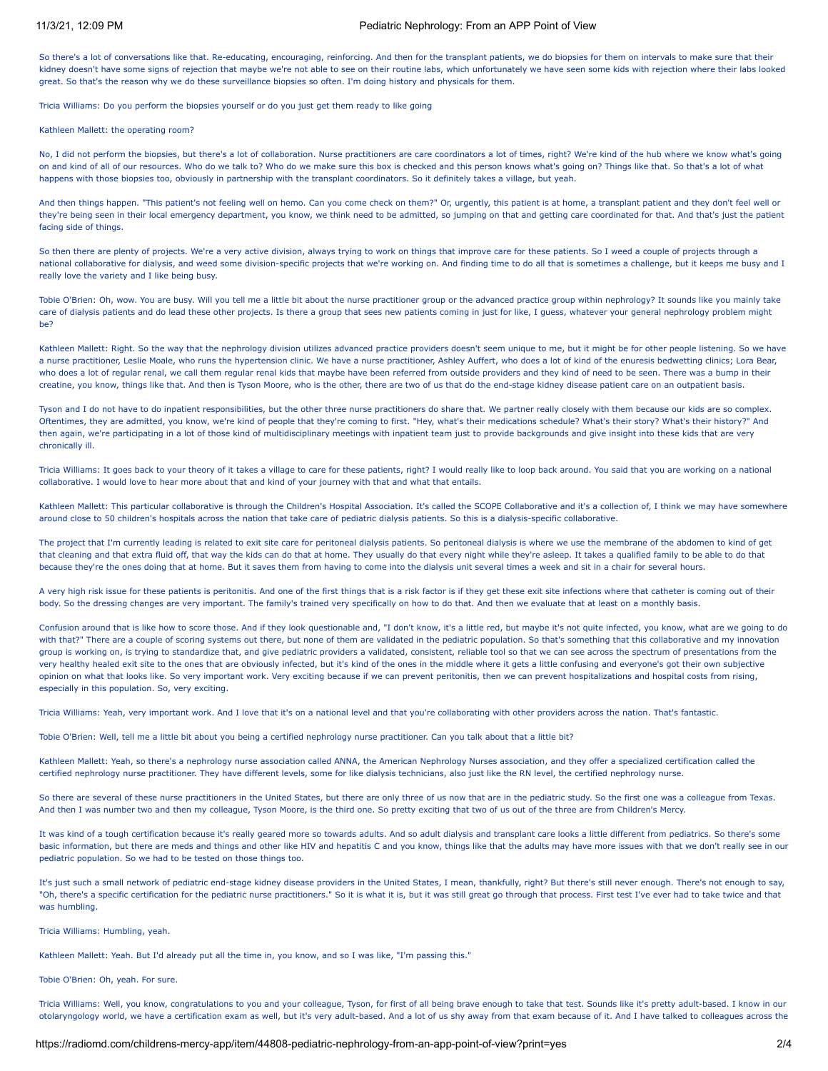# 11/3/21, 12:09 PM Pediatric Nephrology: From an APP Point of View

So there's a lot of conversations like that. Re-educating, encouraging, reinforcing. And then for the transplant patients, we do biopsies for them on intervals to make sure that their kidney doesn't have some signs of rejection that maybe we're not able to see on their routine labs, which unfortunately we have seen some kids with rejection where their labs looked great. So that's the reason why we do these surveillance biopsies so often. I'm doing history and physicals for them.

Tricia Williams: Do you perform the biopsies yourself or do you just get them ready to like going

Kathleen Mallett: the operating room?

No, I did not perform the biopsies, but there's a lot of collaboration. Nurse practitioners are care coordinators a lot of times, right? We're kind of the hub where we know what's going on and kind of all of our resources. Who do we talk to? Who do we make sure this box is checked and this person knows what's going on? Things like that. So that's a lot of what happens with those biopsies too, obviously in partnership with the transplant coordinators. So it definitely takes a village, but yeah.

And then things happen. "This patient's not feeling well on hemo. Can you come check on them?" Or, urgently, this patient is at home, a transplant patient and they don't feel well or they're being seen in their local emergency department, you know, we think need to be admitted, so jumping on that and getting care coordinated for that. And that's just the patient facing side of things.

So then there are plenty of projects. We're a very active division, always trying to work on things that improve care for these patients. So I weed a couple of projects through a national collaborative for dialysis, and weed some division-specific projects that we're working on. And finding time to do all that is sometimes a challenge, but it keeps me busy and I really love the variety and I like being busy.

Tobie O'Brien: Oh, wow. You are busy. Will you tell me a little bit about the nurse practitioner group or the advanced practice group within nephrology? It sounds like you mainly take care of dialysis patients and do lead these other projects. Is there a group that sees new patients coming in just for like, I guess, whatever your general nephrology problem might ho?

Kathleen Mallett: Right. So the way that the nephrology division utilizes advanced practice providers doesn't seem unique to me, but it might be for other people listening. So we have a nurse practitioner, Leslie Moale, who runs the hypertension clinic. We have a nurse practitioner, Ashley Auffert, who does a lot of kind of the enuresis bedwetting clinics; Lora Bear, who does a lot of regular renal, we call them regular renal kids that maybe have been referred from outside providers and they kind of need to be seen. There was a bump in their creatine, you know, things like that. And then is Tyson Moore, who is the other, there are two of us that do the end-stage kidney disease patient care on an outpatient basis.

Tyson and I do not have to do inpatient responsibilities, but the other three nurse practitioners do share that. We partner really closely with them because our kids are so complex. Oftentimes, they are admitted, you know, we're kind of people that they're coming to first. "Hey, what's their medications schedule? What's their story? What's their history?" And then again, we're participating in a lot of those kind of multidisciplinary meetings with inpatient team just to provide backgrounds and give insight into these kids that are very chronically ill.

Tricia Williams: It goes back to your theory of it takes a village to care for these patients, right? I would really like to loop back around. You said that you are working on a national collaborative. I would love to hear more about that and kind of your journey with that and what that entails.

Kathleen Mallett: This particular collaborative is through the Children's Hospital Association. It's called the SCOPE Collaborative and it's a collection of, I think we may have somewhere around close to 50 children's hospitals across the nation that take care of pediatric dialysis patients. So this is a dialysis-specific collaborative.

The project that I'm currently leading is related to exit site care for peritoneal dialysis patients. So peritoneal dialysis is where we use the membrane of the abdomen to kind of get that cleaning and that extra fluid off, that way the kids can do that at home. They usually do that every night while they're asleep. It takes a qualified family to be able to do that because they're the ones doing that at home. But it saves them from having to come into the dialysis unit several times a week and sit in a chair for several hours.

A very high risk issue for these patients is peritonitis. And one of the first things that is a risk factor is if they get these exit site infections where that catheter is coming out of their body. So the dressing changes are very important. The family's trained very specifically on how to do that. And then we evaluate that at least on a monthly basis.

Confusion around that is like how to score those. And if they look questionable and, "I don't know, it's a little red, but maybe it's not quite infected, you know, what are we going to do with that?" There are a couple of scoring systems out there, but none of them are validated in the pediatric population. So that's something that this collaborative and my innovation group is working on, is trying to standardize that, and give pediatric providers a validated, consistent, reliable tool so that we can see across the spectrum of presentations from the very healthy healed exit site to the ones that are obviously infected, but it's kind of the ones in the middle where it gets a little confusing and everyone's got their own subjective opinion on what that looks like. So very important work. Very exciting because if we can prevent peritonitis, then we can prevent hospitalizations and hospital costs from rising, especially in this population. So, very exciting.

Tricia Williams: Yeah, very important work. And I love that it's on a national level and that you're collaborating with other providers across the nation. That's fantastic.

Tobie O'Brien: Well, tell me a little bit about you being a certified nephrology nurse practitioner. Can you talk about that a little bit?

Kathleen Mallett: Yeah, so there's a nephrology nurse association called ANNA, the American Nephrology Nurses association, and they offer a specialized certification called the certified nephrology nurse practitioner. They have different levels, some for like dialysis technicians, also just like the RN level, the certified nephrology nurse.

So there are several of these nurse practitioners in the United States, but there are only three of us now that are in the pediatric study. So the first one was a colleague from Texas. And then I was number two and then my colleague, Tyson Moore, is the third one. So pretty exciting that two of us out of the three are from Children's Mercy.

It was kind of a tough certification because it's really geared more so towards adults. And so adult dialysis and transplant care looks a little different from pediatrics. So there's some basic information, but there are meds and things and other like HIV and hepatitis C and you know, things like that the adults may have more issues with that we don't really see in our pediatric population. So we had to be tested on those things too.

It's just such a small network of pediatric end-stage kidney disease providers in the United States, I mean, thankfully, right? But there's still never enough. There's not enough to say, "Oh, there's a specific certification for the pediatric nurse practitioners." So it is what it is, but it was still great go through that process. First test I've ever had to take twice and that was humbling.

Tricia Williams: Humbling, yeah.

Kathleen Mallett: Yeah. But I'd already put all the time in, you know, and so I was like, "I'm passing this."

Tobie O'Brien: Oh, yeah. For sure.

Tricia Williams: Well, you know, congratulations to you and your colleague, Tyson, for first of all being brave enough to take that test. Sounds like it's pretty adult-based. I know in our otolaryngology world, we have a certification exam as well, but it's very adult-based. And a lot of us shy away from that exam because of it. And I have talked to colleagues across the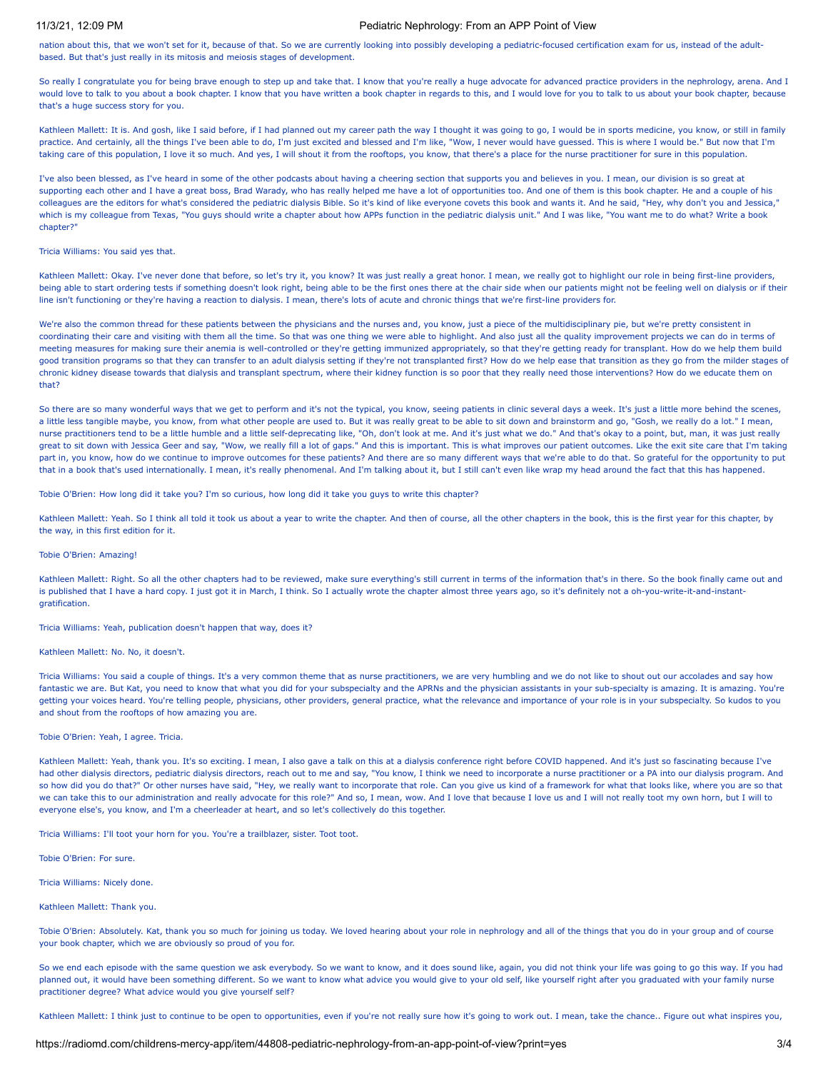# 11/3/21, 12:09 PM Pediatric Nephrology: From an APP Point of View

nation about this, that we won't set for it, because of that. So we are currently looking into possibly developing a pediatric-focused certification exam for us, instead of the adultbased. But that's just really in its mitosis and meiosis stages of development.

So really I congratulate you for being brave enough to step up and take that. I know that you're really a huge advocate for advanced practice providers in the nephrology, arena. And I would love to talk to you about a book chapter. I know that you have written a book chapter in regards to this, and I would love for you to talk to us about your book chapter, because that's a huge success story for you.

Kathleen Mallett: It is. And gosh, like I said before, if I had planned out my career path the way I thought it was going to go, I would be in sports medicine, you know, or still in family practice. And certainly, all the things I've been able to do, I'm just excited and blessed and I'm like, "Wow, I never would have guessed. This is where I would be." But now that I'm taking care of this population, I love it so much. And yes, I will shout it from the rooftops, you know, that there's a place for the nurse practitioner for sure in this population.

I've also been blessed, as I've heard in some of the other podcasts about having a cheering section that supports you and believes in you. I mean, our division is so great at supporting each other and I have a great boss, Brad Warady, who has really helped me have a lot of opportunities too. And one of them is this book chapter. He and a couple of his colleagues are the editors for what's considered the pediatric dialysis Bible. So it's kind of like everyone covets this book and wants it. And he said, "Hey, why don't you and Jessica," which is my colleague from Texas, "You guys should write a chapter about how APPs function in the pediatric dialysis unit." And I was like, "You want me to do what? Write a book chapter?"

#### Tricia Williams: You said yes that.

Kathleen Mallett: Okay. I've never done that before, so let's try it, you know? It was just really a great honor. I mean, we really got to highlight our role in being first-line providers, being able to start ordering tests if something doesn't look right, being able to be the first ones there at the chair side when our patients might not be feeling well on dialysis or if their line isn't functioning or they're having a reaction to dialysis. I mean, there's lots of acute and chronic things that we're first-line providers for.

We're also the common thread for these patients between the physicians and the nurses and, you know, just a piece of the multidisciplinary pie, but we're pretty consistent in coordinating their care and visiting with them all the time. So that was one thing we were able to highlight. And also just all the quality improvement projects we can do in terms of meeting measures for making sure their anemia is well-controlled or they're getting immunized appropriately, so that they're getting ready for transplant. How do we help them build good transition programs so that they can transfer to an adult dialysis setting if they're not transplanted first? How do we help ease that transition as they go from the milder stages of chronic kidney disease towards that dialysis and transplant spectrum, where their kidney function is so poor that they really need those interventions? How do we educate them on that?

So there are so many wonderful ways that we get to perform and it's not the typical, you know, seeing patients in clinic several days a week. It's just a little more behind the scenes, a little less tangible maybe, you know, from what other people are used to. But it was really great to be able to sit down and brainstorm and go, "Gosh, we really do a lot." I mean, nurse practitioners tend to be a little humble and a little self-deprecating like, "Oh, don't look at me. And it's just what we do." And that's okay to a point, but, man, it was just really great to sit down with Jessica Geer and say, "Wow, we really fill a lot of gaps." And this is important. This is what improves our patient outcomes. Like the exit site care that I'm taking part in, you know, how do we continue to improve outcomes for these patients? And there are so many different ways that we're able to do that. So grateful for the opportunity to put that in a book that's used internationally. I mean, it's really phenomenal. And I'm talking about it, but I still can't even like wrap my head around the fact that this has happened.

Tobie O'Brien: How long did it take you? I'm so curious, how long did it take you guys to write this chapter?

Kathleen Mallett: Yeah. So I think all told it took us about a year to write the chapter. And then of course, all the other chapters in the book, this is the first year for this chapter, by the way, in this first edition for it.

### Tobie O'Brien: Amazing!

Kathleen Mallett: Right. So all the other chapters had to be reviewed, make sure everything's still current in terms of the information that's in there. So the book finally came out and is published that I have a hard copy. I just got it in March, I think. So I actually wrote the chapter almost three years ago, so it's definitely not a oh-you-write-it-and-instantgratification.

Tricia Williams: Yeah, publication doesn't happen that way, does it?

#### Kathleen Mallett: No. No, it doesn't.

Tricia Williams: You said a couple of things. It's a very common theme that as nurse practitioners, we are very humbling and we do not like to shout out our accolades and say how fantastic we are. But Kat, you need to know that what you did for your subspecialty and the APRNs and the physician assistants in your sub-specialty is amazing. It is amazing. You're getting your voices heard. You're telling people, physicians, other providers, general practice, what the relevance and importance of your role is in your subspecialty. So kudos to you and shout from the rooftops of how amazing you are.

### Tobie O'Brien: Yeah, I agree. Tricia.

Kathleen Mallett: Yeah, thank you. It's so exciting. I mean, I also gave a talk on this at a dialysis conference right before COVID happened. And it's just so fascinating because I've had other dialysis directors, pediatric dialysis directors, reach out to me and say, "You know, I think we need to incorporate a nurse practitioner or a PA into our dialysis program. And so how did you do that?" Or other nurses have said, "Hey, we really want to incorporate that role. Can you give us kind of a framework for what that looks like, where you are so that we can take this to our administration and really advocate for this role?" And so, I mean, wow. And I love that because I love us and I will not really toot my own horn, but I will to everyone else's, you know, and I'm a cheerleader at heart, and so let's collectively do this together.

Tricia Williams: I'll toot your horn for you. You're a trailblazer, sister. Toot toot.

Tobie O'Brien: For sure.

### Tricia Williams: Nicely done.

Kathleen Mallett: Thank you.

Tobie O'Brien: Absolutely. Kat, thank you so much for joining us today. We loved hearing about your role in nephrology and all of the things that you do in your group and of course your book chapter, which we are obviously so proud of you for.

So we end each episode with the same question we ask everybody. So we want to know, and it does sound like, again, you did not think your life was going to go this way. If you had planned out, it would have been something different. So we want to know what advice you would give to your old self, like yourself right after you graduated with your family nurse practitioner degree? What advice would you give yourself self?

Kathleen Mallett: I think just to continue to be open to opportunities, even if you're not really sure how it's going to work out. I mean, take the chance.. Figure out what inspires you,